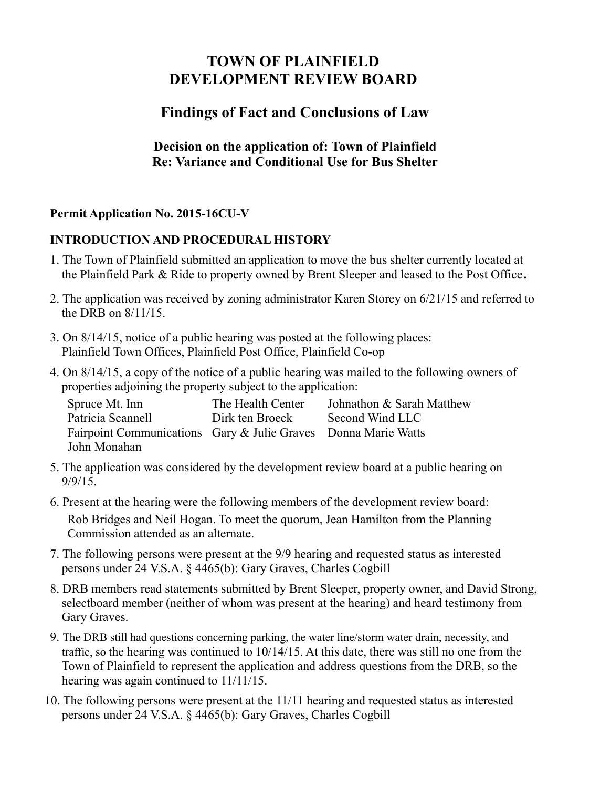# **TOWN OF PLAINFIELD DEVELOPMENT REVIEW BOARD**

# **Findings of Fact and Conclusions of Law**

### **Decision on the application of: Town of Plainfield Re: Variance and Conditional Use for Bus Shelter**

### **Permit Application No. 2015-16CU-V**

#### **INTRODUCTION AND PROCEDURAL HISTORY**

- 1. The Town of Plainfield submitted an application to move the bus shelter currently located at the Plainfield Park & Ride to property owned by Brent Sleeper and leased to the Post Office**.**
- 2. The application was received by zoning administrator Karen Storey on 6/21/15 and referred to the DRB on 8/11/15.
- 3. On 8/14/15, notice of a public hearing was posted at the following places: Plainfield Town Offices, Plainfield Post Office, Plainfield Co-op
- 4. On 8/14/15, a copy of the notice of a public hearing was mailed to the following owners of properties adjoining the property subject to the application:

| Spruce Mt. Inn                                                 | The Health Center | Johnathon & Sarah Matthew |
|----------------------------------------------------------------|-------------------|---------------------------|
| Patricia Scannell                                              | Dirk ten Broeck   | Second Wind LLC           |
| Fairpoint Communications Gary & Julie Graves Donna Marie Watts |                   |                           |
| John Monahan                                                   |                   |                           |

- 5. The application was considered by the development review board at a public hearing on 9/9/15.
- 6. Present at the hearing were the following members of the development review board: Rob Bridges and Neil Hogan. To meet the quorum, Jean Hamilton from the Planning Commission attended as an alternate.
- 7. The following persons were present at the 9/9 hearing and requested status as interested persons under 24 V.S.A. § 4465(b): Gary Graves, Charles Cogbill
- 8. DRB members read statements submitted by Brent Sleeper, property owner, and David Strong, selectboard member (neither of whom was present at the hearing) and heard testimony from Gary Graves.
- 9. The DRB still had questions concerning parking, the water line/storm water drain, necessity, and traffic, so the hearing was continued to 10/14/15. At this date, there was still no one from the Town of Plainfield to represent the application and address questions from the DRB, so the hearing was again continued to 11/11/15.
- 10. The following persons were present at the 11/11 hearing and requested status as interested persons under 24 V.S.A. § 4465(b): Gary Graves, Charles Cogbill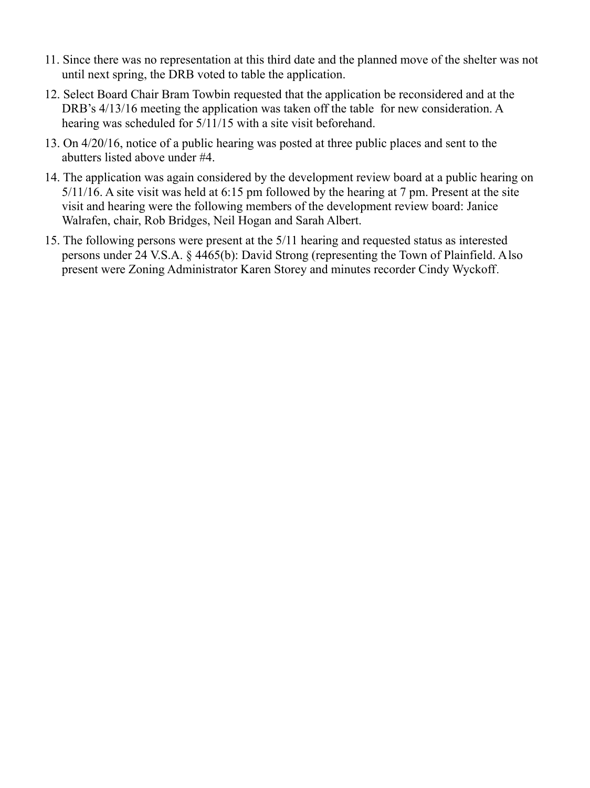- 11. Since there was no representation at this third date and the planned move of the shelter was not until next spring, the DRB voted to table the application.
- 12. Select Board Chair Bram Towbin requested that the application be reconsidered and at the DRB's  $4/13/16$  meeting the application was taken off the table for new consideration. A hearing was scheduled for 5/11/15 with a site visit beforehand.
- 13. On 4/20/16, notice of a public hearing was posted at three public places and sent to the abutters listed above under #4.
- 14. The application was again considered by the development review board at a public hearing on 5/11/16. A site visit was held at 6:15 pm followed by the hearing at 7 pm. Present at the site visit and hearing were the following members of the development review board: Janice Walrafen, chair, Rob Bridges, Neil Hogan and Sarah Albert.
- 15. The following persons were present at the 5/11 hearing and requested status as interested persons under 24 V.S.A. § 4465(b): David Strong (representing the Town of Plainfield. Also present were Zoning Administrator Karen Storey and minutes recorder Cindy Wyckoff.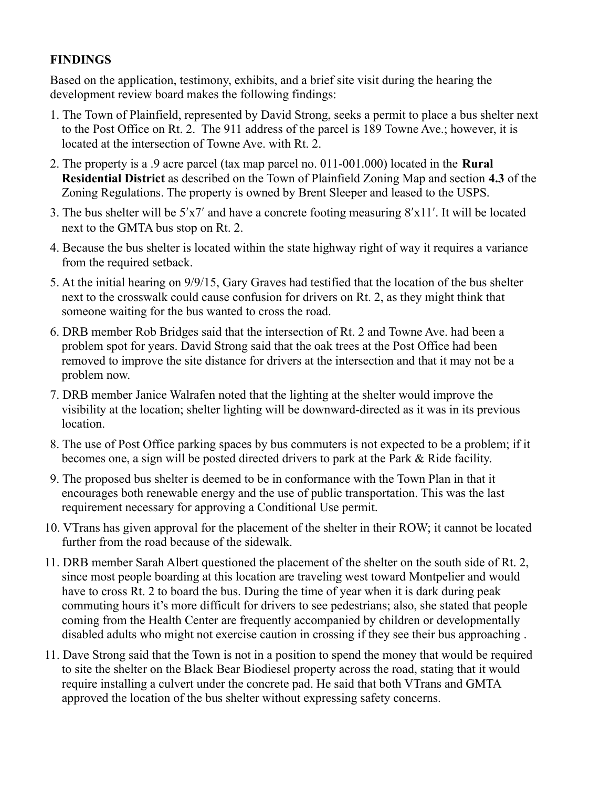## **FINDINGS**

Based on the application, testimony, exhibits, and a brief site visit during the hearing the development review board makes the following findings:

- 1. The Town of Plainfield, represented by David Strong, seeks a permit to place a bus shelter next to the Post Office on Rt. 2. The 911 address of the parcel is 189 Towne Ave.; however, it is located at the intersection of Towne Ave. with Rt. 2.
- 2. The property is a .9 acre parcel (tax map parcel no. 011-001.000) located in the **Rural Residential District** as described on the Town of Plainfield Zoning Map and section **4.3** of the Zoning Regulations. The property is owned by Brent Sleeper and leased to the USPS.
- 3. The bus shelter will be 5′x7′ and have a concrete footing measuring 8′x11′. It will be located next to the GMTA bus stop on Rt. 2.
- 4. Because the bus shelter is located within the state highway right of way it requires a variance from the required setback.
- 5. At the initial hearing on 9/9/15, Gary Graves had testified that the location of the bus shelter next to the crosswalk could cause confusion for drivers on Rt. 2, as they might think that someone waiting for the bus wanted to cross the road.
- 6. DRB member Rob Bridges said that the intersection of Rt. 2 and Towne Ave. had been a problem spot for years. David Strong said that the oak trees at the Post Office had been removed to improve the site distance for drivers at the intersection and that it may not be a problem now.
- 7. DRB member Janice Walrafen noted that the lighting at the shelter would improve the visibility at the location; shelter lighting will be downward-directed as it was in its previous location.
- 8. The use of Post Office parking spaces by bus commuters is not expected to be a problem; if it becomes one, a sign will be posted directed drivers to park at the Park & Ride facility.
- 9. The proposed bus shelter is deemed to be in conformance with the Town Plan in that it encourages both renewable energy and the use of public transportation. This was the last requirement necessary for approving a Conditional Use permit.
- 10. VTrans has given approval for the placement of the shelter in their ROW; it cannot be located further from the road because of the sidewalk.
- 11. DRB member Sarah Albert questioned the placement of the shelter on the south side of Rt. 2, since most people boarding at this location are traveling west toward Montpelier and would have to cross Rt. 2 to board the bus. During the time of year when it is dark during peak commuting hours it's more difficult for drivers to see pedestrians; also, she stated that people coming from the Health Center are frequently accompanied by children or developmentally disabled adults who might not exercise caution in crossing if they see their bus approaching .
- 11. Dave Strong said that the Town is not in a position to spend the money that would be required to site the shelter on the Black Bear Biodiesel property across the road, stating that it would require installing a culvert under the concrete pad. He said that both VTrans and GMTA approved the location of the bus shelter without expressing safety concerns.